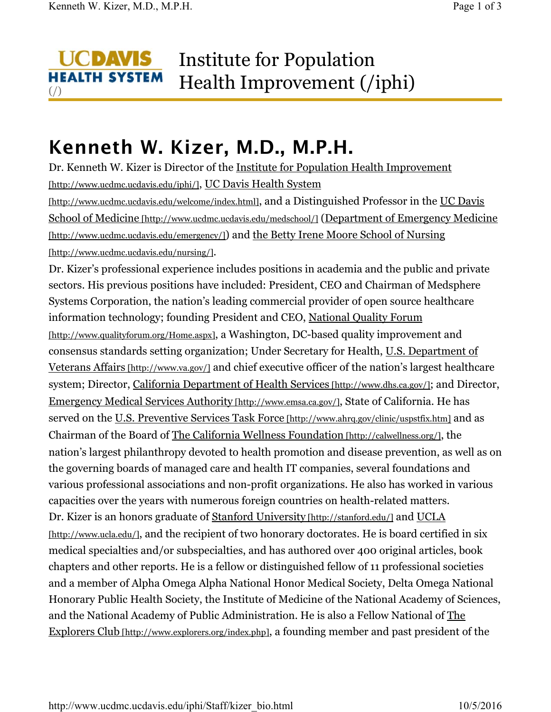$\left(\frac{\ }{\ }$ 

## **UCDAVIS** Institute for Population **HEALTH SYSTEM** Health Improvement (/iphi)

## **Kenneth W. Kizer, M.D., M.P.H.**

Dr. Kenneth W. Kizer is Director of the Institute for Population Health Improvement [http://www.ucdmc.ucdavis.edu/iphi/], UC Davis Health System [http://www.ucdmc.ucdavis.edu/welcome/index.html], and a Distinguished Professor in the UC Davis School of Medicine [http://www.ucdmc.ucdavis.edu/medschool/] (Department of Emergency Medicine [http://www.ucdmc.ucdavis.edu/emergency/]) and the Betty Irene Moore School of Nursing [http://www.ucdmc.ucdavis.edu/nursing/].

Dr. Kizer's professional experience includes positions in academia and the public and private sectors. His previous positions have included: President, CEO and Chairman of Medsphere Systems Corporation, the nation's leading commercial provider of open source healthcare information technology; founding President and CEO, National Quality Forum [http://www.qualityforum.org/Home.aspx], a Washington, DC-based quality improvement and consensus standards setting organization; Under Secretary for Health, U.S. Department of Veterans Affairs [http://www.va.gov/] and chief executive officer of the nation's largest healthcare system; Director, California Department of Health Services [http://www.dhs.ca.gov/]; and Director, Emergency Medical Services Authority [http://www.emsa.ca.gov/], State of California. He has served on the U.S. Preventive Services Task Force [http://www.ahrq.gov/clinic/uspstfix.htm] and as Chairman of the Board of The California Wellness Foundation [http://calwellness.org/], the nation's largest philanthropy devoted to health promotion and disease prevention, as well as on the governing boards of managed care and health IT companies, several foundations and various professional associations and non-profit organizations. He also has worked in various capacities over the years with numerous foreign countries on health-related matters. Dr. Kizer is an honors graduate of **Stanford University** [http://stanford.edu/] and UCLA [http://www.ucla.edu/], and the recipient of two honorary doctorates. He is board certified in six medical specialties and/or subspecialties, and has authored over 400 original articles, book chapters and other reports. He is a fellow or distinguished fellow of 11 professional societies and a member of Alpha Omega Alpha National Honor Medical Society, Delta Omega National Honorary Public Health Society, the Institute of Medicine of the National Academy of Sciences, and the National Academy of Public Administration. He is also a Fellow National of The Explorers Club [http://www.explorers.org/index.php], a founding member and past president of the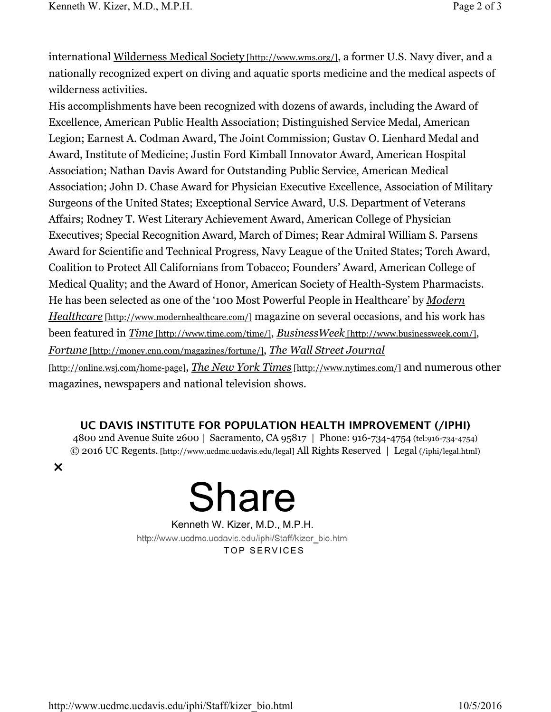international Wilderness Medical Society [http://www.wms.org/], a former U.S. Navy diver, and a nationally recognized expert on diving and aquatic sports medicine and the medical aspects of wilderness activities.

His accomplishments have been recognized with dozens of awards, including the Award of Excellence, American Public Health Association; Distinguished Service Medal, American Legion; Earnest A. Codman Award, The Joint Commission; Gustav O. Lienhard Medal and Award, Institute of Medicine; Justin Ford Kimball Innovator Award, American Hospital Association; Nathan Davis Award for Outstanding Public Service, American Medical Association; John D. Chase Award for Physician Executive Excellence, Association of Military Surgeons of the United States; Exceptional Service Award, U.S. Department of Veterans Affairs; Rodney T. West Literary Achievement Award, American College of Physician Executives; Special Recognition Award, March of Dimes; Rear Admiral William S. Parsens Award for Scientific and Technical Progress, Navy League of the United States; Torch Award, Coalition to Protect All Californians from Tobacco; Founders' Award, American College of Medical Quality; and the Award of Honor, American Society of Health-System Pharmacists. He has been selected as one of the '100 Most Powerful People in Healthcare' by *Modern Healthcare* [http://www.modernhealthcare.com/] magazine on several occasions, and his work has been featured in *Time* [http://www.time.com/time/], *BusinessWeek* [http://www.businessweek.com/], *Fortune* [http://money.cnn.com/magazines/fortune/], *The Wall Street Journal* [http://online.wsj.com/home-page], *The New York Times* [http://www.nytimes.com/] and numerous other magazines, newspapers and national television shows.

## **UC DAVIS INSTITUTE FOR POPULATION HEALTH IMPROVEMENT (/IPHI)**

4800 2nd Avenue Suite 2600 | Sacramento, CA 95817 | Phone: 916-734-4754 (tel:916-734-4754) © 2016 UC Regents. [http://www.ucdmc.ucdavis.edu/legal] All Rights Reserved | Legal (/iphi/legal.html)

×



Kenneth W. Kizer, M.D., M.P.H. http://www.ucdmc.ucdavis.edu/iphi/Staff/kizer\_bio.html TOP SERVICES